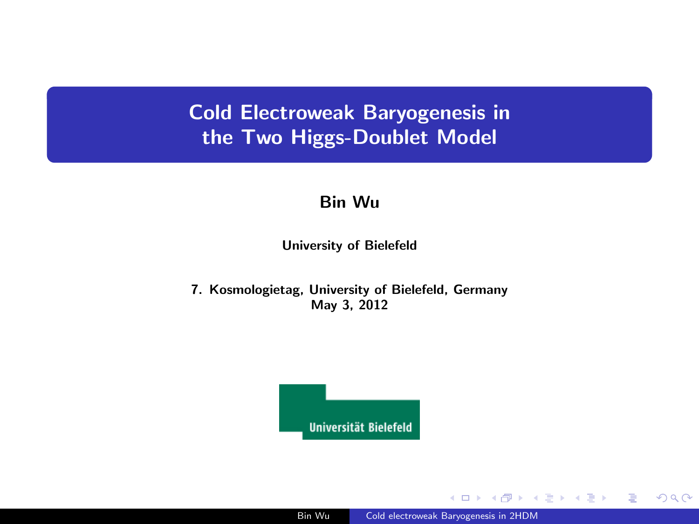## Cold Electroweak Baryogenesis in the Two Higgs-Doublet Model

#### Bin Wu

University of Bielefeld

7. Kosmologietag, University of Bielefeld, Germany May 3, 2012



 $\Box$ 

④差を ④差をつ

 $299$ 

目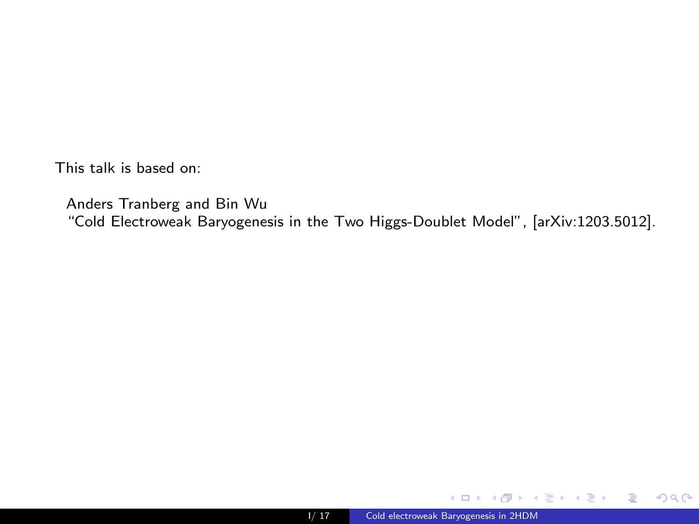This talk is based on:

Anders Tranberg and Bin Wu "Cold Electroweak Baryogenesis in the Two Higgs-Doublet Model", [arXiv:1203.5012].



 $4.171 +$ 

 $\sim$ 

K 등 > K 등 > ...

<span id="page-1-0"></span> $E = \Omega Q$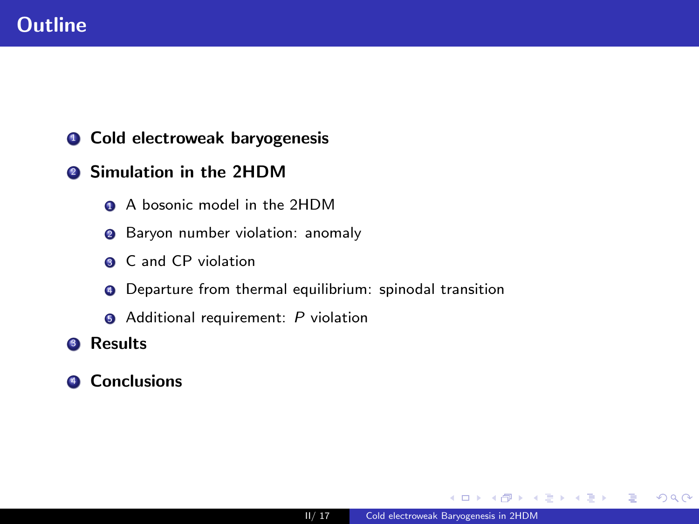## **Outline**

- **1** Cold electroweak baryogenesis
- <sup>2</sup> Simulation in the 2HDM
	- <sup>1</sup> A bosonic model in the 2HDM
	- <sup>2</sup> Baryon number violation: anomaly
	- **3** C and CP violation
	- **4** Departure from thermal equilibrium: spinodal transition
	- **6** Additional requirement: P violation
- **3** Results
- **4** Conclusions

 $\leftarrow$   $\Box$ 

- K 영어 K 영어 H

 $\equiv$   $\Omega$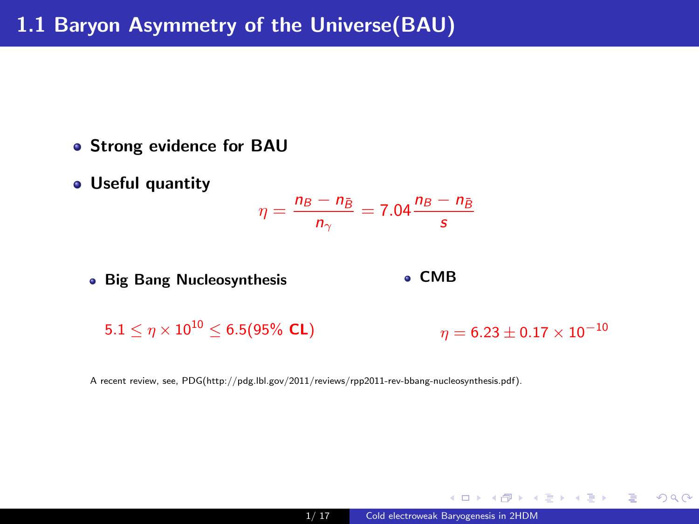- **Strong evidence for BAU**
- Useful quantity

$$
\eta = \frac{n_B - n_{\bar{B}}}{n_{\gamma}} = 7.04 \frac{n_B - n_{\bar{B}}}{s}
$$

**• Big Bang Nucleosynthesis** 

CMB

 $5.1 \leq \eta \times 10^{10} \leq 6.5$ (95% CL)

 $\eta = 6.23 \pm 0.17 \times 10^{-10}$ 

→ 御き → 君き → 君き → 日 → のなの

A recent review, see, PDG(http://pdg.lbl.gov/2011/reviews/rpp2011-rev-bbang-nucleosynthesis.pdf).

4 m k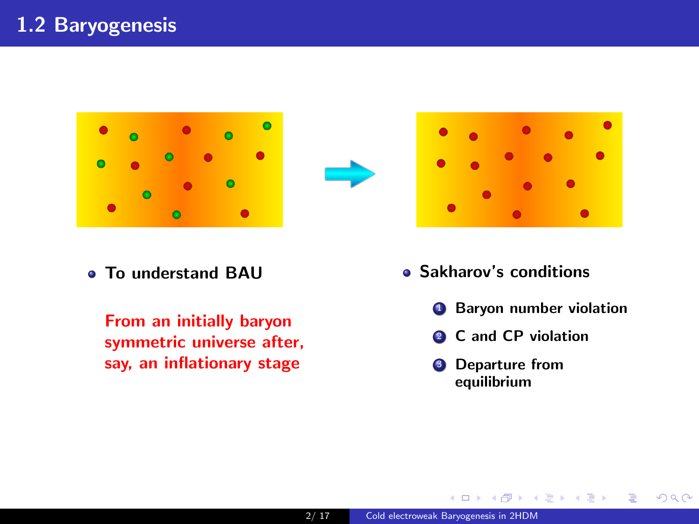





To understand BAU

From an initially baryon symmetric universe after, say, an inflationary stage

- Sakharov's conditions
	- **4** Baryon number violation

- K 영어 K 영어 H

造り  $QQ$ 

- <sup>2</sup> C and CP violation
- **3** Departure from equilibrium

4 何 ト

 $-10.5$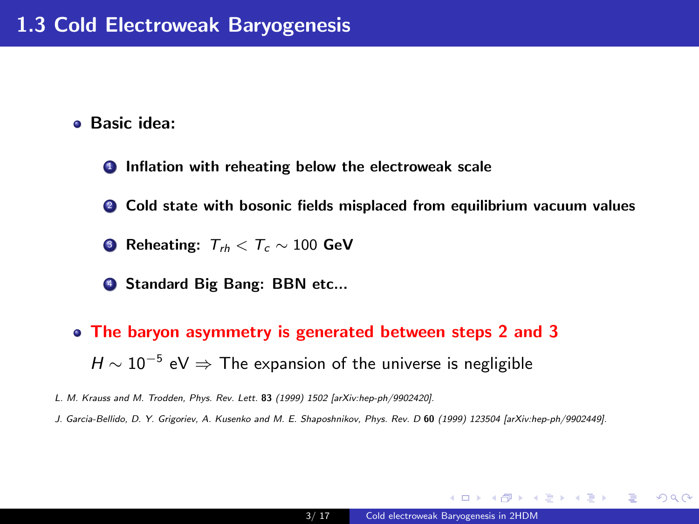Basic idea:

**1** Inflation with reheating below the electroweak scale

**2** Cold state with bosonic fields misplaced from equilibrium vacuum values

**3** Reheating:  $T_{th} < T_c \sim 100$  GeV

**4 Standard Big Bang: BBN etc...** 

The baryon asymmetry is generated between steps 2 and 3  $H \sim 10^{-5}$  eV  $\Rightarrow$  The expansion of the universe is negligible

L. M. Krauss and M. Trodden, Phys. Rev. Lett. 83 (1999) 1502 [arXiv:hep-ph/9902420].

J. Garcia-Bellido, D. Y. Grigoriev, A. Kusenko and M. E. Shaposhnikov, Phys. Rev. D 60 (1999) 123504 [arXiv:hep-ph/9902449].

K ロ ▶ K @ ▶ K 할 ▶ K 할 ▶ → 할 → 9 Q @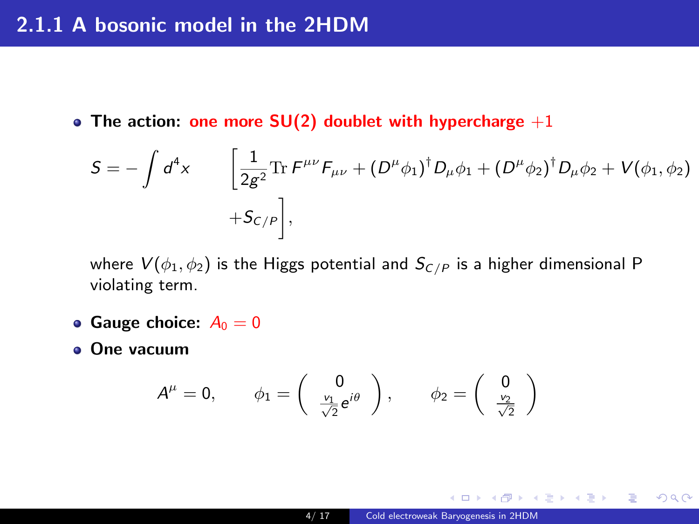### 2.1.1 A bosonic model in the 2HDM

• The action: one more  $SU(2)$  doublet with hypercharge  $+1$ 

$$
S = -\int d^4x \qquad \left[ \frac{1}{2g^2} \text{Tr} \, F^{\mu\nu} F_{\mu\nu} + (D^{\mu} \phi_1)^{\dagger} D_{\mu} \phi_1 + (D^{\mu} \phi_2)^{\dagger} D_{\mu} \phi_2 + V(\phi_1, \phi_2) \right. \\ + S_{\mathcal{C}/P} \bigg],
$$

where  $V(\phi_1, \phi_2)$  is the Higgs potential and  $S_{C/P}$  is a higher dimensional P violating term.

- Gauge choice:  $A_0 = 0$
- One vacuum

$$
A^{\mu}=0, \qquad \phi_1=\left(\begin{array}{c} 0\\ \frac{v_1}{\sqrt{2}}e^{i\theta} \end{array}\right), \qquad \phi_2=\left(\begin{array}{c} 0\\ \frac{v_2}{\sqrt{2}} \end{array}\right)
$$

 $-10.5$ 

K個→ K目→ K目→ (目) のQC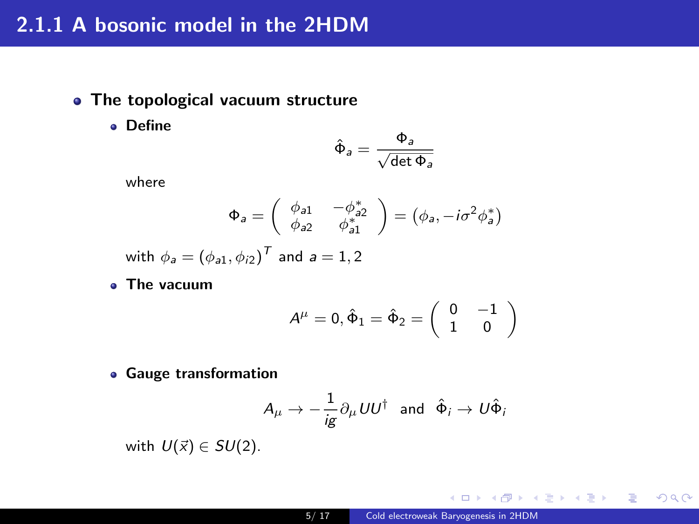## 2.1.1 A bosonic model in the 2HDM

- The topological vacuum structure
	- Define

$$
\hat{\Phi}_a = \frac{\Phi_a}{\sqrt{\det \Phi_a}}
$$

where

$$
\Phi_a = \left(\begin{array}{cc} \phi_{a1} & -\phi_{a2}^* \\ \phi_{a2} & \phi_{a1}^* \end{array}\right) = \left(\phi_a, -i\sigma^2\phi_a^*\right)
$$

with  $\phi_a=(\phi_{a1},\phi_{i2})^{\mathsf{T}}$  and  $a=1,2$ 

The vacuum

$$
A^\mu=0, \hat{\Phi}_1=\hat{\Phi}_2=\left(\begin{array}{cc}0&-1\\1&0\end{array}\right)
$$

Gauge transformation

$$
A_{\mu} \rightarrow -\frac{1}{ig} \partial_{\mu} U U^{\dagger} \text{ and } \hat{\Phi}_{i} \rightarrow U \hat{\Phi}_{i}
$$

with  $U(\vec{x}) \in SU(2)$ .

4 m k

→ 個 ▶ → ミ ▶ → ミ ▶ │ ミ │ つんぺ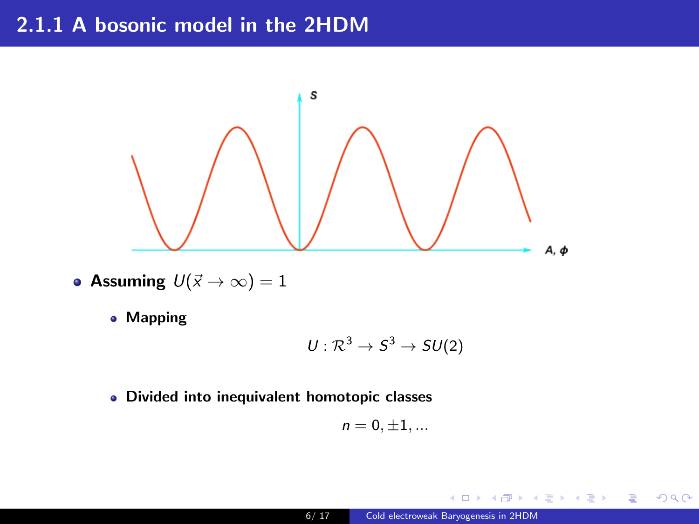## 2.1.1 A bosonic model in the 2HDM



- Assuming  $U(\vec{x} \to \infty) = 1$ 
	- Mapping

$$
U:\mathcal{R}^3\to S^3\to SU(2)
$$

Divided into inequivalent homotopic classes

$$
n=0,\pm 1,...
$$

 $\leftarrow$   $\Box$ 

K 등 > IK 등 >

E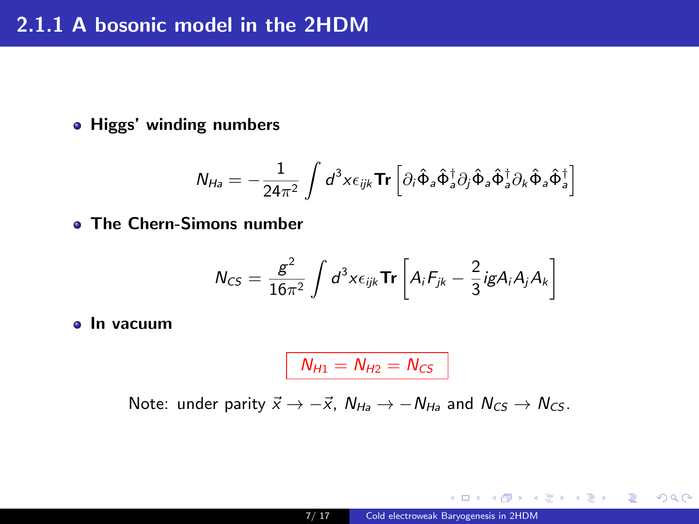Higgs' winding numbers

$$
N_{Ha} = -\frac{1}{24\pi^2} \int d^3x \epsilon_{ijk} \text{Tr} \left[ \partial_i \hat{\Phi}_a \hat{\Phi}_a^{\dagger} \partial_j \hat{\Phi}_a \hat{\Phi}_a^{\dagger} \partial_k \hat{\Phi}_a \hat{\Phi}_a^{\dagger} \right]
$$

The Chern-Simons number

$$
N_{CS} = \frac{g^2}{16\pi^2} \int d^3x \epsilon_{ijk} \mathbf{Tr} \left[ A_i F_{jk} - \frac{2}{3} i g A_i A_j A_k \right]
$$

• In vacuum

$$
N_{H1}=N_{H2}=N_{CS}
$$

Note: under parity  $\vec{x} \rightarrow -\vec{x}$ ,  $N_{Ha} \rightarrow -N_{Ha}$  and  $N_{CS} \rightarrow N_{CS}$ .

 $\leftarrow$ 

御 ▶ ∢ 君 ▶ ④ 君 ▶ ○ 君 │ ◆○ ٩. ⊙ ٩.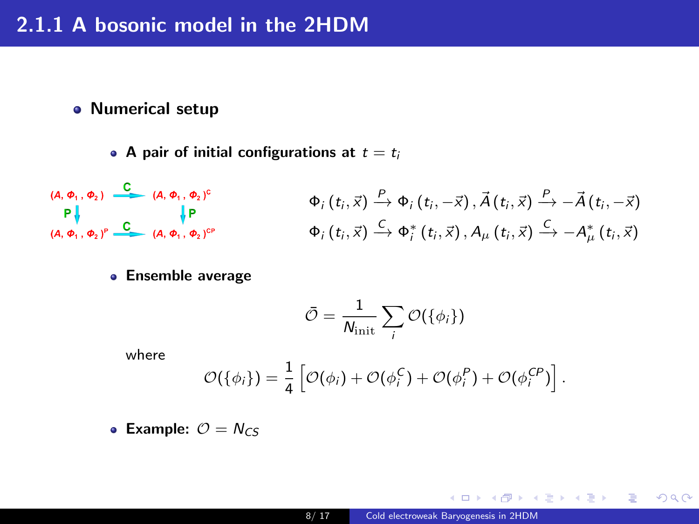#### Numerical setup

• A pair of initial configurations at  $t = t_i$ 

$$
\begin{array}{ccccc}\n\text{(A, } \varphi_1, \varphi_2) & \xrightarrow{\mathbb{C}} & \text{(A, } \varphi_1, \varphi_2)^c & & \varphi_i(t_i, \vec{x}) & \xrightarrow{P} \varphi_i(t_i, -\vec{x}), \vec{A}(t_i, \vec{x}) & \xrightarrow{P} -\vec{A}(t_i, -\vec{x}) \\
& & \downarrow \mathsf{P} & & & \varphi_i(t_i, \vec{x}) & \xrightarrow{P} \varphi_i(t_i, \vec{x}), A_\mu(t_i, \vec{x}) & \xrightarrow{C} -A_\mu^*(t_i, \vec{x})\n\end{array}
$$

**• Ensemble average** 

$$
\bar{\mathcal{O}} = \frac{1}{N_{\mathrm{init}}} \sum_i \mathcal{O}(\{\phi_i\})
$$

where

$$
\mathcal{O}(\{\phi_i\}) = \frac{1}{4} \left[ \mathcal{O}(\phi_i) + \mathcal{O}(\phi_i^C) + \mathcal{O}(\phi_i^P) + \mathcal{O}(\phi_i^{CP}) \right].
$$

• Example:  $O = N_{CS}$ 

 $-10.5$ 

K個→ K 君→ K 君→ 〈君〉 ◆O Q ⊙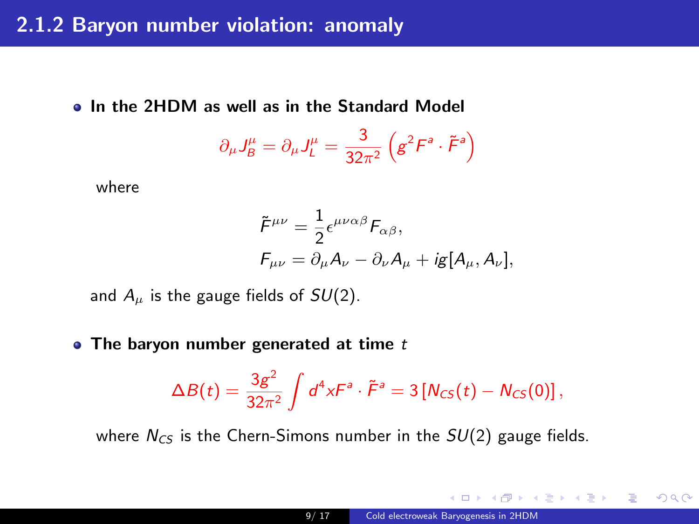• In the 2HDM as well as in the Standard Model

$$
\partial_{\mu}J_{B}^{\mu}=\partial_{\mu}J_{L}^{\mu}=\frac{3}{32\pi^{2}}\left(g^{2}\mathit{F}^{a}\cdot\tilde{\mathit{F}}^{a}\right)
$$

where

$$
\tilde{F}^{\mu\nu} = \frac{1}{2} \epsilon^{\mu\nu\alpha\beta} F_{\alpha\beta},
$$
  

$$
F_{\mu\nu} = \partial_{\mu} A_{\nu} - \partial_{\nu} A_{\mu} + i g [A_{\mu}, A_{\nu}],
$$

and  $A_\mu$  is the gauge fields of  $SU(2)$ .

• The baryon number generated at time  $t$ 

$$
\Delta B(t)=\frac{3g^2}{32\pi^2}\int d^4x F^a\cdot \tilde{F}^a=3[N_{CS}(t)-N_{CS}(0)]\,,
$$

where  $N_{CS}$  is the Chern-Simons number in the  $SU(2)$  gauge fields.

御き メミメ メミメン 毛の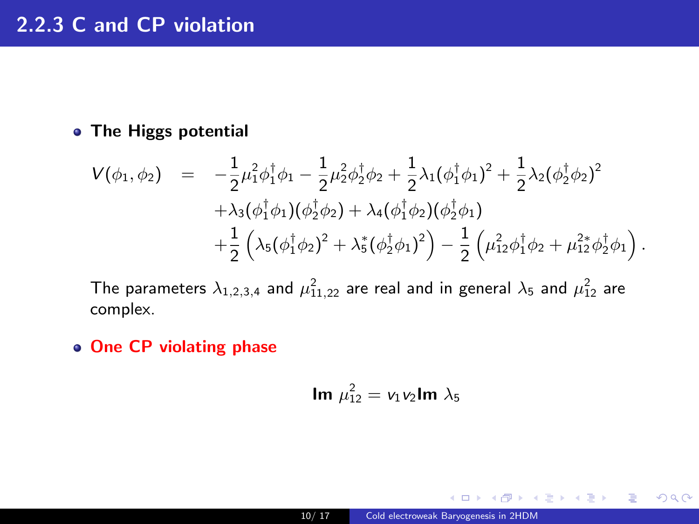#### **• The Higgs potential**

$$
V(\phi_1, \phi_2) = -\frac{1}{2} \mu_1^2 \phi_1^{\dagger} \phi_1 - \frac{1}{2} \mu_2^2 \phi_2^{\dagger} \phi_2 + \frac{1}{2} \lambda_1 (\phi_1^{\dagger} \phi_1)^2 + \frac{1}{2} \lambda_2 (\phi_2^{\dagger} \phi_2)^2 + \lambda_3 (\phi_1^{\dagger} \phi_1) (\phi_2^{\dagger} \phi_2) + \lambda_4 (\phi_1^{\dagger} \phi_2) (\phi_2^{\dagger} \phi_1) + \frac{1}{2} (\lambda_5 (\phi_1^{\dagger} \phi_2)^2 + \lambda_5^* (\phi_2^{\dagger} \phi_1)^2) - \frac{1}{2} (\mu_{12}^2 \phi_1^{\dagger} \phi_2 + \mu_{12}^2 \phi_2^{\dagger} \phi_1).
$$

The parameters  $\lambda_{1,2,3,4}$  and  $\mu^2_{11,22}$  are real and in general  $\lambda_5$  and  $\mu^2_{12}$  are complex.

• One CP violating phase

$$
\text{Im }\mu_{12}^2 = v_1v_2\text{Im }\lambda_5
$$

 $\leftarrow$   $\Box$ 

- K 클 ▶ K 클 ▶ - 클 - YO Q @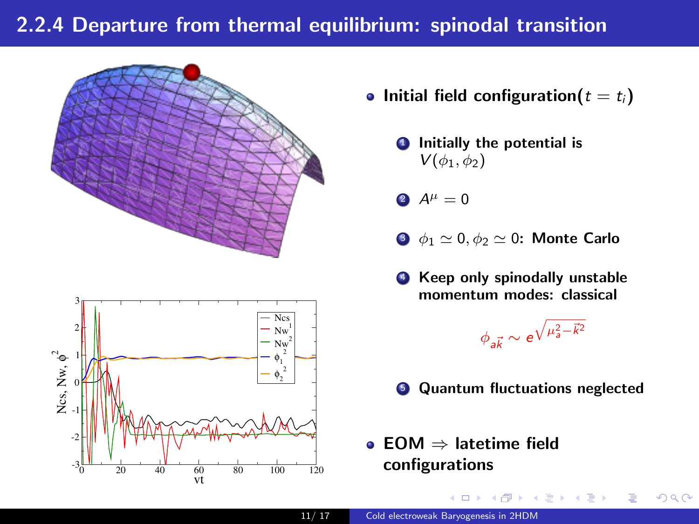## 2.2.4 Departure from thermal equilibrium: spinodal transition





- Initial field configuration( $t = t_i$ )
	- **1** Initially the potential is  $V(\phi_1, \phi_2)$
	- 2  $A^{\mu} = 0$
	- $\bullet$   $\phi_1 \simeq 0, \phi_2 \simeq 0$ : Monte Carlo
	- **4** Keep only spinodally unstable momentum modes: classical

$$
\phi_{a\vec{k}} \sim e^{\sqrt{\mu_a^2 - \vec{k}^2}}
$$

 $A \cap \overline{B} \rightarrow A \Rightarrow A \Rightarrow A$ 

E

- **6** Quantum fluctuations neglected
- EOM ⇒ latetime field configurations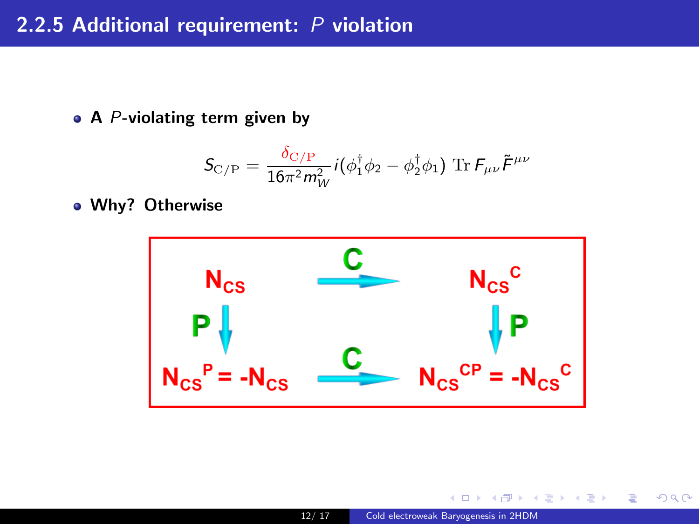### 2.2.5 Additional requirement: P violation

 $\bullet$  A P-violating term given by

$$
\mathcal{S}_{\text{C/P}} = \frac{\delta_{\text{C/P}}}{16\pi^2 m_W^2} i(\phi_1^\dagger \phi_2 - \phi_2^\dagger \phi_1) \; \text{Tr} \, \mathcal{F}_{\mu\nu} \tilde{\mathcal{F}}^{\mu\nu}
$$

Why? Otherwise



 $\Box$ 

 $2990$ 

Ε

澄後 メ君を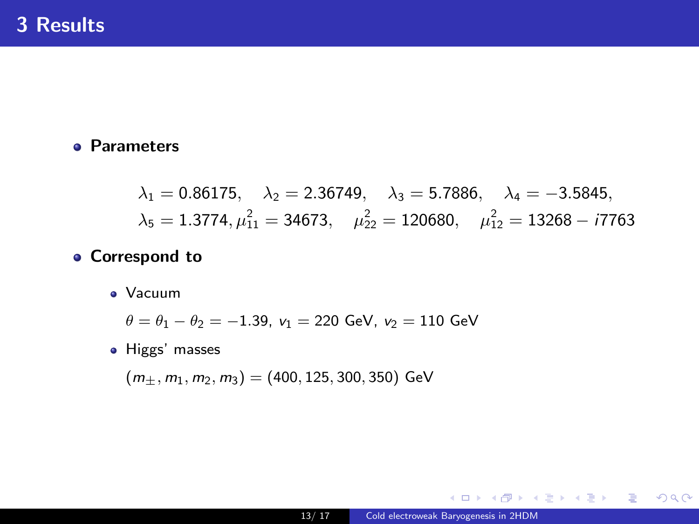#### **e** Parameters

 $\lambda_1 = 0.86175$ ,  $\lambda_2 = 2.36749$ ,  $\lambda_3 = 5.7886$ ,  $\lambda_4 = -3.5845$ ,  $\lambda_5 = 1.3774, \mu_{11}^2 = 34673, \quad \mu_{22}^2 = 120680, \quad \mu_{12}^2 = 13268 - i7763$ 

#### **• Correspond to**

Vacuum

$$
\theta = \theta_1 - \theta_2 = -1.39, v_1 = 220 \text{ GeV}, v_2 = 110 \text{ GeV}
$$

• Higgs' masses

 $(m_+, m_1, m_2, m_3) = (400, 125, 300, 350)$  GeV

個→ <ミ> <ミ> ニミーのA@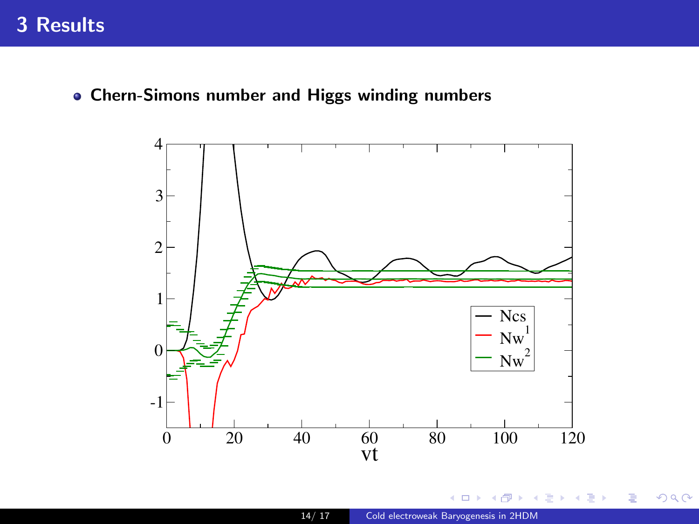Chern-Simons number and Higgs winding numbers



×.  $\Box$  검 > 'K 검 >

重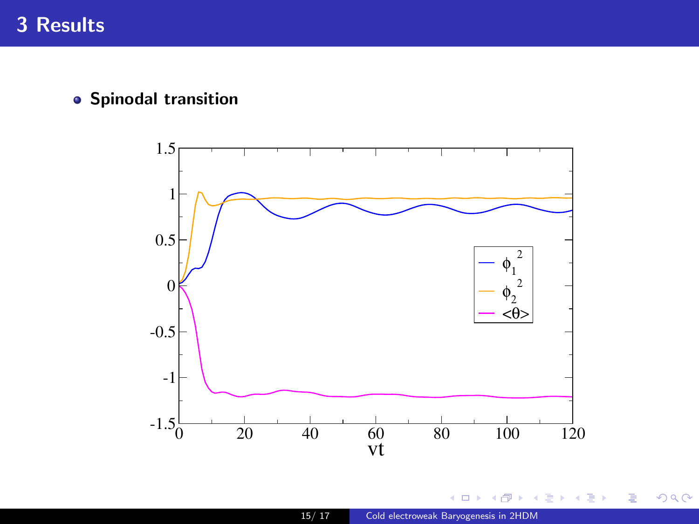# 3 Results

**•** Spinodal transition



 $\leftarrow$ 

高 × 검 > 'K 검 >

重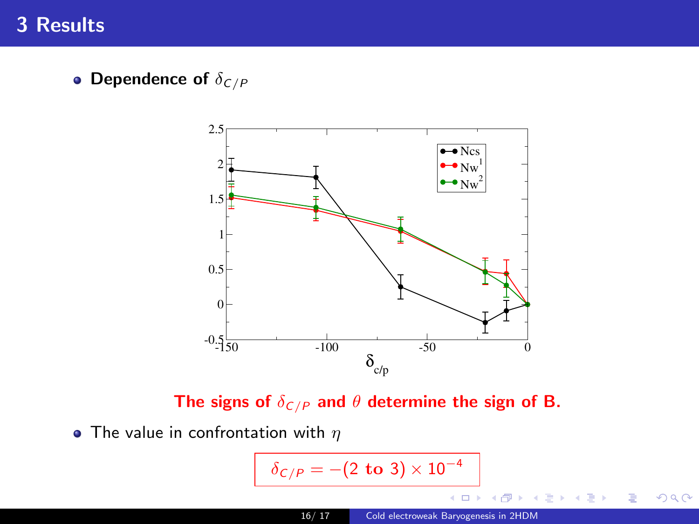# 3 Results

• Dependence of  $\delta_{C/P}$ 



The signs of  $\delta_{\mathcal{C}/\mathcal{P}}$  and  $\theta$  determine the sign of B.

• The value in confrontation with  $\eta$ 

$$
\delta_{C/P} = -(2 \text{ to } 3) \times 10^{-4}
$$

 $299$ 

活

- 세트 베

∍  $\rightarrow$